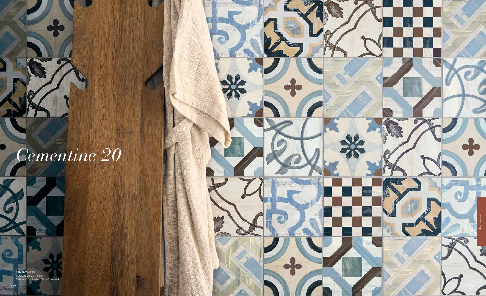

## *Cementine 20*

 $\bullet$ 

CEMENTINE 20 COLORS 20x20 - 8"x8" Naturale/Rettificato - Matte/Rectified

 $\overline{\mathbf{c}}$  .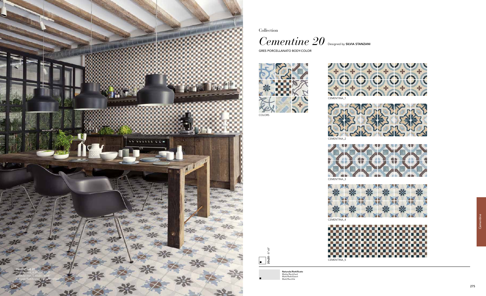Collection

 $\emph{Cementine 20}$  Designed by SILVIA STANZANI

GRES PORCELLANATO BODY-COLOR





20x20 - 8"x8"  $\begin{array}{|c|c|}\hline \textbf{0} & \textbf{0} & \textbf{0}\end{array}$ 

COLORS

Naturale/Rettificato Matte/Rectified Matt/Rektifiziert Matt/Rectifié



CEMENT